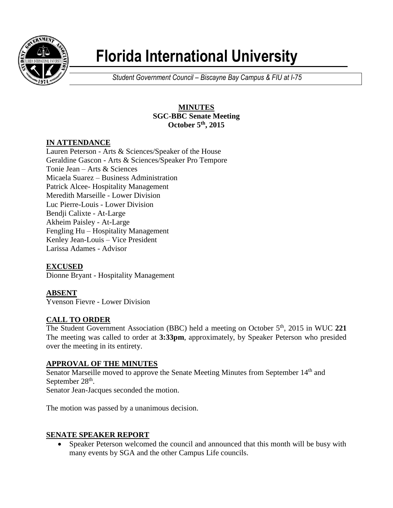

# **Florida International University**

*Student Government Council – Biscayne Bay Campus & FIU at I-75*

## **MINUTES SGC-BBC Senate Meeting October 5th , 2015**

# **IN ATTENDANCE**

Lauren Peterson - Arts & Sciences/Speaker of the House Geraldine Gascon - Arts & Sciences/Speaker Pro Tempore Tonie Jean – Arts & Sciences Micaela Suarez – Business Administration Patrick Alcee- Hospitality Management Meredith Marseille - Lower Division Luc Pierre-Louis - Lower Division Bendji Calixte - At-Large Akheim Paisley - At-Large Fengling Hu – Hospitality Management Kenley Jean-Louis – Vice President Larissa Adames - Advisor

## **EXCUSED**

Dionne Bryant - Hospitality Management

## **ABSENT**

Yvenson Fievre - Lower Division

## **CALL TO ORDER**

The Student Government Association (BBC) held a meeting on October 5<sup>th</sup>, 2015 in WUC 221 The meeting was called to order at **3:33pm**, approximately, by Speaker Peterson who presided over the meeting in its entirety.

## **APPROVAL OF THE MINUTES**

Senator Marseille moved to approve the Senate Meeting Minutes from September 14<sup>th</sup> and September  $28<sup>th</sup>$ . Senator Jean-Jacques seconded the motion.

The motion was passed by a unanimous decision.

## **SENATE SPEAKER REPORT**

• Speaker Peterson welcomed the council and announced that this month will be busy with many events by SGA and the other Campus Life councils.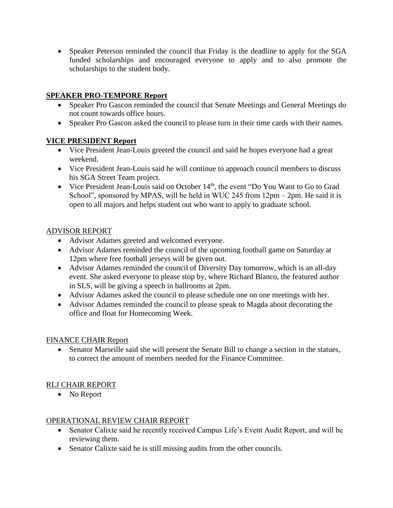• Speaker Peterson reminded the council that Friday is the deadline to apply for the SGA funded scholarships and encouraged everyone to apply and to also promote the scholarships to the student body.

#### **SPEAKER PRO-TEMPORE Report**

- Speaker Pro Gascon reminded the council that Senate Meetings and General Meetings do not count towards office hours.
- Speaker Pro Gascon asked the council to please turn in their time cards with their names.

## **VICE PRESIDENT Report**

- Vice President Jean-Louis greeted the council and said he hopes everyone had a great weekend.
- Vice President Jean-Louis said he will continue to approach council members to discuss his SGA Street Team project.
- Vice President Jean-Louis said on October 14<sup>th</sup>, the event "Do You Want to Go to Grad School", sponsored by MPAS, will be held in WUC 245 from 12pm – 2pm. He said it is open to all majors and helps student out who want to apply to graduate school.

## ADVISOR REPORT

- Advisor Adames greeted and welcomed everyone.
- Advisor Adames reminded the council of the upcoming football game on Saturday at 12pm where free football jerseys will be given out.
- Advisor Adames reminded the council of Diversity Day tomorrow, which is an all-day event. She asked everyone to please stop by, where Richard Blanco, the featured author in SLS, will be giving a speech in ballrooms at 2pm.
- Advisor Adames asked the council to please schedule one on one meetings with her.
- Advisor Adames reminded the council to please speak to Magda about decorating the office and float for Homecoming Week.

## FINANCE CHAIR Report

 Senator Marseille said she will present the Senate Bill to change a section in the statues, to correct the amount of members needed for the Finance Committee.

# RLJ CHAIR REPORT

• No Report

## OPERATIONAL REVIEW CHAIR REPORT

- Senator Calixte said he recently received Campus Life's Event Audit Report, and will be reviewing them.
- Senator Calixte said he is still missing audits from the other councils.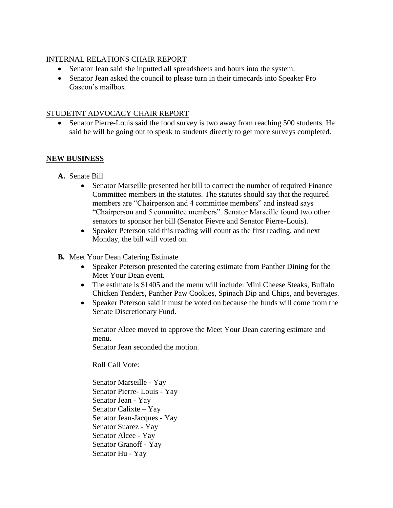#### INTERNAL RELATIONS CHAIR REPORT

- Senator Jean said she inputted all spreadsheets and hours into the system.
- Senator Jean asked the council to please turn in their timecards into Speaker Pro Gascon's mailbox.

#### STUDETNT ADVOCACY CHAIR REPORT

• Senator Pierre-Louis said the food survey is two away from reaching 500 students. He said he will be going out to speak to students directly to get more surveys completed.

#### **NEW BUSINESS**

- **A.** Senate Bill
	- Senator Marseille presented her bill to correct the number of required Finance Committee members in the statutes. The statutes should say that the required members are "Chairperson and 4 committee members" and instead says "Chairperson and 5 committee members". Senator Marseille found two other senators to sponsor her bill (Senator Fievre and Senator Pierre-Louis).
	- Speaker Peterson said this reading will count as the first reading, and next Monday, the bill will voted on.
- **B.** Meet Your Dean Catering Estimate
	- Speaker Peterson presented the catering estimate from Panther Dining for the Meet Your Dean event.
	- The estimate is \$1405 and the menu will include: Mini Cheese Steaks, Buffalo Chicken Tenders, Panther Paw Cookies, Spinach Dip and Chips, and beverages.
	- Speaker Peterson said it must be voted on because the funds will come from the Senate Discretionary Fund.

Senator Alcee moved to approve the Meet Your Dean catering estimate and menu.

Senator Jean seconded the motion.

Roll Call Vote:

Senator Marseille - Yay Senator Pierre- Louis - Yay Senator Jean - Yay Senator Calixte – Yay Senator Jean-Jacques - Yay Senator Suarez - Yay Senator Alcee - Yay Senator Granoff - Yay Senator Hu - Yay